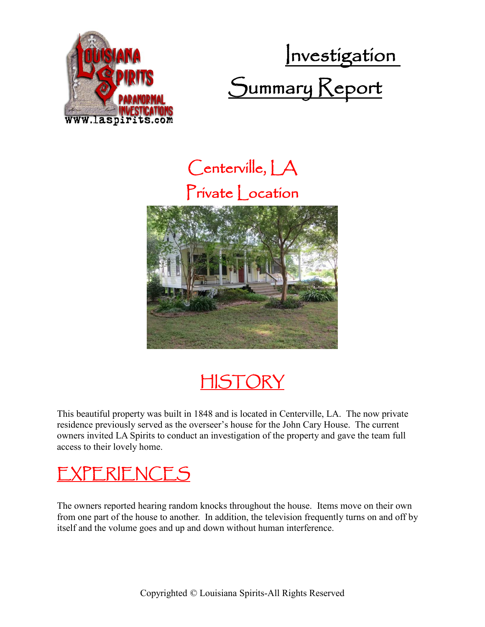





**HISTORY** 

This beautiful property was built in 1848 and is located in Centerville, LA. The now private residence previously served as the overseer's house for the John Cary House. The current owners invited LA Spirits to conduct an investigation of the property and gave the team full access to their lovely home.

## EXPERIENCES

The owners reported hearing random knocks throughout the house. Items move on their own from one part of the house to another. In addition, the television frequently turns on and off by itself and the volume goes and up and down without human interference.